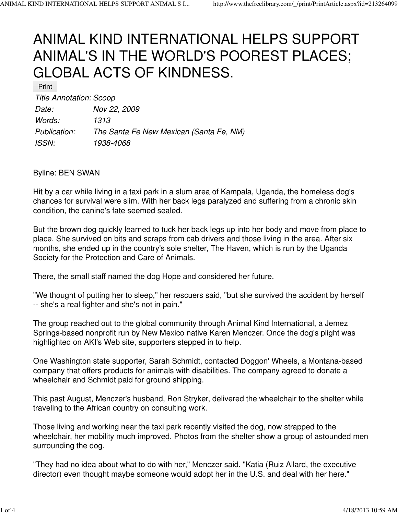## ANIMAL KIND INTERNATIONAL HELPS SUPPORT ANIMAL'S IN THE WORLD'S POOREST PLACES; GLOBAL ACTS OF KINDNESS.

Print

Title Annotation: Scoop

| Date:        | Nov 22, 2009                            |
|--------------|-----------------------------------------|
| Words:       | 1313                                    |
| Publication: | The Santa Fe New Mexican (Santa Fe, NM) |
| <b>ISSN:</b> | 1938-4068                               |

## Byline: BEN SWAN

Hit by a car while living in a taxi park in a slum area of Kampala, Uganda, the homeless dog's chances for survival were slim. With her back legs paralyzed and suffering from a chronic skin condition, the canine's fate seemed sealed.

But the brown dog quickly learned to tuck her back legs up into her body and move from place to place. She survived on bits and scraps from cab drivers and those living in the area. After six months, she ended up in the country's sole shelter, The Haven, which is run by the Uganda Society for the Protection and Care of Animals.

There, the small staff named the dog Hope and considered her future.

"We thought of putting her to sleep," her rescuers said, "but she survived the accident by herself -- she's a real fighter and she's not in pain."

The group reached out to the global community through Animal Kind International, a Jemez Springs-based nonprofit run by New Mexico native Karen Menczer. Once the dog's plight was highlighted on AKI's Web site, supporters stepped in to help.

One Washington state supporter, Sarah Schmidt, contacted Doggon' Wheels, a Montana-based company that offers products for animals with disabilities. The company agreed to donate a wheelchair and Schmidt paid for ground shipping.

This past August, Menczer's husband, Ron Stryker, delivered the wheelchair to the shelter while traveling to the African country on consulting work.

Those living and working near the taxi park recently visited the dog, now strapped to the wheelchair, her mobility much improved. Photos from the shelter show a group of astounded men surrounding the dog.

"They had no idea about what to do with her," Menczer said. "Katia (Ruiz Allard, the executive director) even thought maybe someone would adopt her in the U.S. and deal with her here."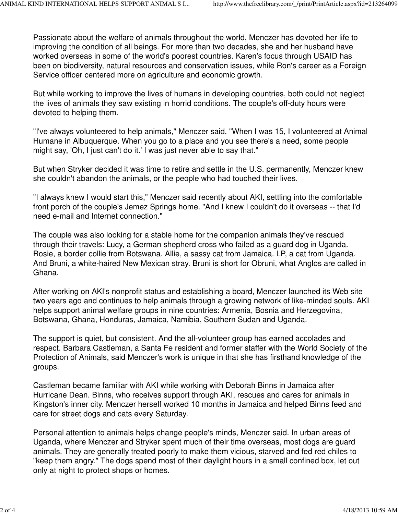Passionate about the welfare of animals throughout the world, Menczer has devoted her life to improving the condition of all beings. For more than two decades, she and her husband have worked overseas in some of the world's poorest countries. Karen's focus through USAID has been on biodiversity, natural resources and conservation issues, while Ron's career as a Foreign Service officer centered more on agriculture and economic growth.

But while working to improve the lives of humans in developing countries, both could not neglect the lives of animals they saw existing in horrid conditions. The couple's off-duty hours were devoted to helping them.

"I've always volunteered to help animals," Menczer said. "When I was 15, I volunteered at Animal Humane in Albuquerque. When you go to a place and you see there's a need, some people might say, 'Oh, I just can't do it.' I was just never able to say that."

But when Stryker decided it was time to retire and settle in the U.S. permanently, Menczer knew she couldn't abandon the animals, or the people who had touched their lives.

"I always knew I would start this," Menczer said recently about AKI, settling into the comfortable front porch of the couple's Jemez Springs home. "And I knew I couldn't do it overseas -- that I'd need e-mail and Internet connection."

The couple was also looking for a stable home for the companion animals they've rescued through their travels: Lucy, a German shepherd cross who failed as a guard dog in Uganda. Rosie, a border collie from Botswana. Allie, a sassy cat from Jamaica. LP, a cat from Uganda. And Bruni, a white-haired New Mexican stray. Bruni is short for Obruni, what Anglos are called in Ghana.

After working on AKI's nonprofit status and establishing a board, Menczer launched its Web site two years ago and continues to help animals through a growing network of like-minded souls. AKI helps support animal welfare groups in nine countries: Armenia, Bosnia and Herzegovina, Botswana, Ghana, Honduras, Jamaica, Namibia, Southern Sudan and Uganda.

The support is quiet, but consistent. And the all-volunteer group has earned accolades and respect. Barbara Castleman, a Santa Fe resident and former staffer with the World Society of the Protection of Animals, said Menczer's work is unique in that she has firsthand knowledge of the groups.

Castleman became familiar with AKI while working with Deborah Binns in Jamaica after Hurricane Dean. Binns, who receives support through AKI, rescues and cares for animals in Kingston's inner city. Menczer herself worked 10 months in Jamaica and helped Binns feed and care for street dogs and cats every Saturday.

Personal attention to animals helps change people's minds, Menczer said. In urban areas of Uganda, where Menczer and Stryker spent much of their time overseas, most dogs are guard animals. They are generally treated poorly to make them vicious, starved and fed red chiles to "keep them angry." The dogs spend most of their daylight hours in a small confined box, let out only at night to protect shops or homes.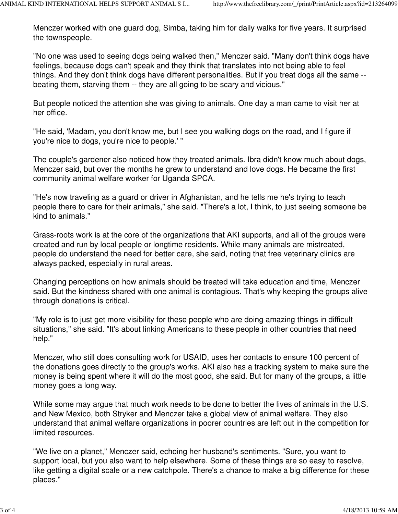Menczer worked with one guard dog, Simba, taking him for daily walks for five years. It surprised the townspeople.

"No one was used to seeing dogs being walked then," Menczer said. "Many don't think dogs have feelings, because dogs can't speak and they think that translates into not being able to feel things. And they don't think dogs have different personalities. But if you treat dogs all the same - beating them, starving them -- they are all going to be scary and vicious."

But people noticed the attention she was giving to animals. One day a man came to visit her at her office.

"He said, 'Madam, you don't know me, but I see you walking dogs on the road, and I figure if you're nice to dogs, you're nice to people.' "

The couple's gardener also noticed how they treated animals. Ibra didn't know much about dogs, Menczer said, but over the months he grew to understand and love dogs. He became the first community animal welfare worker for Uganda SPCA.

"He's now traveling as a guard or driver in Afghanistan, and he tells me he's trying to teach people there to care for their animals," she said. "There's a lot, I think, to just seeing someone be kind to animals."

Grass-roots work is at the core of the organizations that AKI supports, and all of the groups were created and run by local people or longtime residents. While many animals are mistreated, people do understand the need for better care, she said, noting that free veterinary clinics are always packed, especially in rural areas.

Changing perceptions on how animals should be treated will take education and time, Menczer said. But the kindness shared with one animal is contagious. That's why keeping the groups alive through donations is critical.

"My role is to just get more visibility for these people who are doing amazing things in difficult situations," she said. "It's about linking Americans to these people in other countries that need help."

Menczer, who still does consulting work for USAID, uses her contacts to ensure 100 percent of the donations goes directly to the group's works. AKI also has a tracking system to make sure the money is being spent where it will do the most good, she said. But for many of the groups, a little money goes a long way.

While some may argue that much work needs to be done to better the lives of animals in the U.S. and New Mexico, both Stryker and Menczer take a global view of animal welfare. They also understand that animal welfare organizations in poorer countries are left out in the competition for limited resources.

"We live on a planet," Menczer said, echoing her husband's sentiments. "Sure, you want to support local, but you also want to help elsewhere. Some of these things are so easy to resolve, like getting a digital scale or a new catchpole. There's a chance to make a big difference for these places."